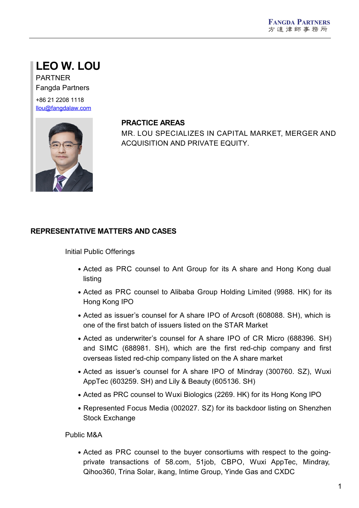# **LEO W. LOU**

PARTNER Fangda Partners

+86 21 2208 1118 [llou@fangdalaw.com](mailto:llou@fangdalaw.com)



#### **PRACTICE AREAS**

MR. LOU SPECIALIZES IN CAPITAL MARKET, MERGER AND ACQUISITION AND PRIVATE EQUITY.

### **REPRESENTATIVE MATTERS AND CASES**

Initial Public Offerings

- Acted as PRC counsel to Ant Group for its A share and Hong Kong dual listing
- Acted as PRC counsel to Alibaba Group Holding Limited (9988. HK) for its Hong Kong IPO
- Acted as issuer's counsel for A share IPO of Arcsoft (608088, SH), which is one of the first batch of issuers listed on the STAR Market
- Acted as underwriter's counsel for A share IPO of CR Micro (688396. SH) and SIMC (688981. SH), which are the first red-chip company and first overseas listed red-chip company listed on the A share market
- Acted as issuer's counsel for A share IPO of Mindray (300760. SZ), Wuxi AppTec (603259. SH) and Lily & Beauty (605136. SH)
- Acted as PRC counsel to Wuxi Biologics (2269. HK) for its Hong Kong IPO
- Represented Focus Media (002027. SZ) for its backdoor listing on Shenzhen Stock Exchange

Public M&A

Acted as PRC counsel to the buyer consortiums with respect to the going private transactions of 58.com, 51job, CBPO, Wuxi AppTec, Mindray, Qihoo360, Trina Solar, ikang, Intime Group, Yinde Gas and CXDC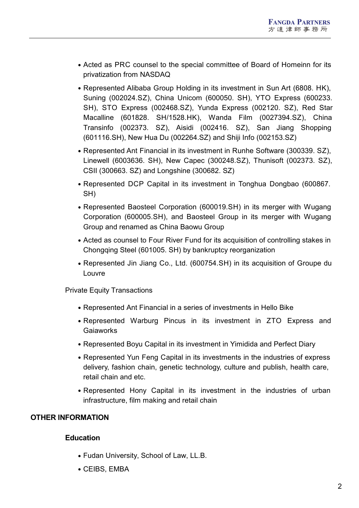- Acted as PRC counsel to the special committee of Board of Homeinn for its privatization from NASDAQ
- Represented Alibaba Group Holding in its investment in Sun Art (6808. HK), Suning (002024.SZ), China Unicom (600050. SH), YTO Express (600233. SH), STO Express (002468.SZ), Yunda Express (002120. SZ), Red Star Macalline (601828. SH/1528.HK), Wanda Film (0027394.SZ), China Transinfo (002373. SZ), Aisidi (002416. SZ), San Jiang Shopping (601116.SH), New Hua Du (002264.SZ) and Shiji Info (002153.SZ)
- Represented Ant Financial in its investment in Runhe Software (300339. SZ), Linewell (6003636. SH), New Capec (300248.SZ), Thunisoft (002373. SZ), CSII (300663. SZ) and Longshine (300682. SZ)
- Represented DCP Capital in its investment in Tonghua Dongbao (600867. SH)
- Represented Baosteel Corporation (600019.SH) in its merger with Wugang Corporation (600005.SH), and Baosteel Group in its merger with Wugang Group and renamed as China Baowu Group
- Acted as counsel to Four River Fund for its acquisition of controlling stakes in Chongqing Steel (601005. SH) by bankruptcy reorganization
- Represented Jin Jiang Co., Ltd. (600754.SH) in its acquisition of Groupe du Louvre

Private Equity Transactions

- Represented Ant Financial in a series of investments in Hello Bike
- Represented Warburg Pincus in its investment in ZTO Express and **Gaiaworks**
- Represented Boyu Capital in its investment in Yimidida and Perfect Diary
- Represented Yun Feng Capital in its investments in the industries of express delivery, fashion chain, genetic technology, culture and publish, health care, retail chain and etc.
- Represented Hony Capital in its investment in the industries of urban infrastructure, film making and retail chain

### **OTHER INFORMATION**

#### **Education**

- Fudan University, School of Law, LL.B.
- CEIBS, EMBA